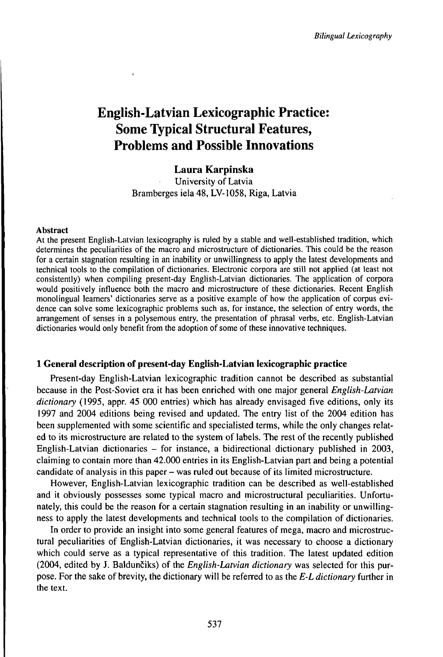# English-Latvian Lexicographic Practice: Some Typical Structural Features, Problems and Possible Innovations

# **Laura Karpinska**

University of Latvia Bramberges iela 48, ĽV-1058, Riga, Latvia

#### Abstract

At the present English-Latvian lexicography is ruled by a stable and well-established tradition, which determines the peculiarities of the macro and microstructure of dictionaries. This could be the reason for a certain stagnation resulting in an inability or unwillingness to apply the latest developments and technical tools to the compilation of dictionaries. Electronic corpora are still not applied (at least not consistently) when compiling present-day English-Latvian dictionaries. The application of corpora would positively influence both the macro and microstructure of these dictionaries. Recent English monolingual learners' dictionaries serve as a positive example of how the application of corpus evidence can solve some lexicographic problems such as, for instance, the selection of entry words, the arrangement of senses in a polysemous entry, the presentation of phrasal verbs, etc. English-Latvian dictionaries would only benefit from the adoption of some of these innovative techniques.

# **1 General description of present-day English-Latvian lexicographic practice**

Present-day English-Latvian lexicographic tradition cannot be described as substantial because in the Post-Soviet era it has been enriched with one major general *English-Latvian dictionary* (1995, appr. 45 000 entries) which has already envisaged five editions, only its 1997 and 2004 editions being revised and updated. The entry list of the 2004 edition has been supplemented with some scientific and specialisted terms, while the only changes related to its microstructure are related to the system of labels. The rest of the recently published English-Latvian dictionaries  $-$  for instance, a bidirectional dictionary published in 2003, claiming to contain more than 42.000 entries in its English-Latvian part and being a potential candidate of analysis in this paper – was ruled out because of its limited microstructure.

However, English-Latvian lexicographic tradition can be described as well-established and it obviously possesses some typical macro and microstructural peculiarities. Unfortunately, this could be the reason for a certain stagnation resulting in an inability or unwillingness to apply the latest developments and technical tools to the compilation of dictionaries.

In order to provide an insight into some general features of mega, macro and microstructural peculiarities of English-Latvian dictionaries, it was necessary to choose a dictionary which could serve as a typical representative of this tradition. The latest updated edition (2004, edited by J. Baldunčiks) of the *English-Latvian dictionary* was selected for this purpose. For the sake of brevity, the dictionary will be referred to as the *E-L dictionary* further in the text.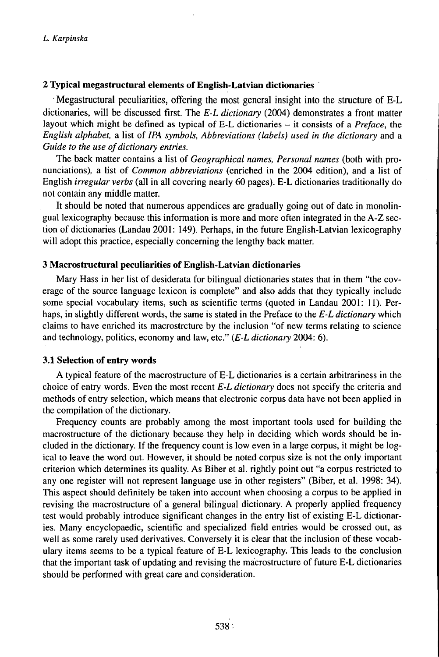# **2 Typical megastructural elements of English-Latvian dictionaries**

• Megastructural peculiarities, offering the most general insight into the structure of E-L dictionaries, will be discussed first. The *E-L dictionary* (2004) demonstrates a front matter layout which might be defined as typical of E-L dictionaries – it consists of a *Preface*, the *English alphabet,* a list of *IPA symbols, Abbreviations (labels) used in the dictionary* and a *Guide to the use of dictionary entries.* 

The back matter contains a list of *Geographical names, Personal names* (both with pronunciations), a list of *Common abbreviations* (enriched in the 2004 edition), and a list of English *irregular verbs* (all in all covering nearly 60 pages). E-L dictionaries traditionally do not contain any middle matter.

It should be noted that numerous appendices are gradually going out of date in monolingual lexicography because this information is more and more often integrated in the A-Z section of dictionaries (Landau 2001: 149). Perhaps, in the future English-Latvian lexicography will adopt this practice, especially concerning the lengthy back matter.

#### **3 Macrostructural peculiarities of English-Latvian dictionaries**

Mary Hass in her list of desiderata for bilingual dictionaries states that in them "the coverage of the source language lexicon is complete" and also adds that they typically include some special vocabulary items, such as scientific terms (quoted in Landau 2001: 11). Perhaps, in slightly different words, the same is stated in the Preface to the *E-L dictionary* which claims to have enriched its macrostrcture by the inclusion "of new terms relating to science and technology, politics, economy and law, etc." *(E-L dictionary* 2004: 6).

#### **3.1 Selection of entry words**

A typical feature of the macrostructure of E-L dictionaries is a certain arbitrariness in the choice of entry words. Even the most recent *E-L dictionary* does not specify the criteria and methods ofentry selection, which means that electronic corpus data have not been applied in the compilation of the dictionary.

Frequency counts are probably among the most important tools used for building the macrostructure of the dictionary because they help in deciding which words should be included in the dictionary. If the frequency count is low even in a large corpus, it might be logical to leave the word out. However, it should be noted corpus size is not the only important criterion which determines its quality. As Biber et al. rightly point out "a corpus restricted to any one register will not represent language use in other registers" (Biber, et al. 1998: 34). This aspect should definitely be taken into account when choosing a corpus to be applied in revising the macrostructure of a general bilingual dictionary. A properly applied frequency test would probably introduce significant changes in the entry list of existing E-L dictionaries. Many encyclopaedic, scientific and specialized field entries would be crossed out, as well as some rarely used derivatives. Conversely it is clear that the inclusion of these vocabulary items seems to be a typical feature of E-L lexicography. This leads to the conclusion that the important task of updating and revising the macrostructure of future E-L dictionaries should be performed with great care and consideration.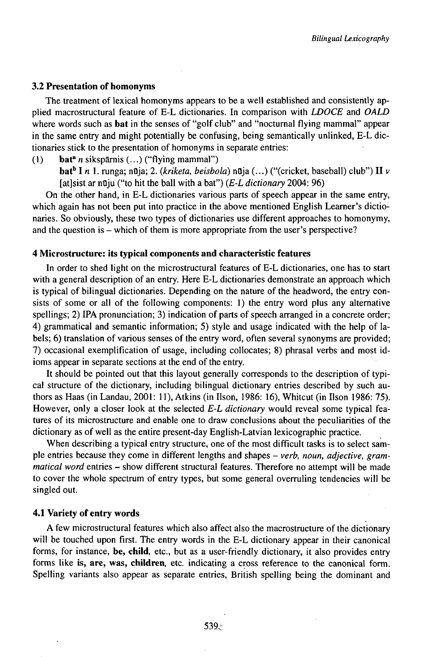#### **3.2 Presentation of homonyms**

The treatment of lexical homonyms appears to be a well established and consistently applied macrostructural feature of E-L dictionaries. In comparison with *LDOCE* and *OALD* where words such as **bat** in the senses of "golf club" and "nocturnal flying mammal" appear in the same entry and might potentially be confusing, being semantically unlinked, E-L dictionaries stick to the presentation of homonyms in separate entries:

(1) bat<sup>a</sup> *n* sikspārnis  $(...)$  ("flying mammal")

**bat<sup>b</sup>** I *n* 1. runga; nOja; 2. *{kriketa, beisbola)* nOja (...) ("(cricket, baseball) club") II <sup>v</sup> [at]sist ar nūju ("to hit the ball with a bat") *(E-L dictionary* 2004: 96)

On the other hand, in E-L dictionaries various parts of speech appear in the same entry, which again has not been put into practice in the above mentioned English Learner's dictionaries. So obviously, these two types of dictionaries use different approaches to homonymy, and the question is – which of them is more appropriate from the user's perspective?

# **4 Microstructure: its typical components and characteristic features**

In order to shed light on the microstructural features of E-L dictionaries, one has to start with a general description of an entry. Here E-L dictionaries demonstrate an approach which is typical of bilingual dictionaries. Depending on the nature of the headword, the entry consists of some or all of the following components: 1) the entry word plus any alternative spellings; 2) IPA pronunciation; 3) indication of parts of speech arranged in a concrete order; 4) grammatical and semantic information; 5) style and usage indicated with the help of labels; 6) translation of various senses of the entry word, often several synonyms are provided;  $7)$  occasional exemplification of usage, including collocates; 8) phrasal verbs and most idioms appear in separate sections at the end of the entry.

It should be pointed out that this layout generally corresponds to the description of typical structure of the dictionary, including bilingual dictionary entries described by such authors as Haas (in Landau, 2001: 11), Atkins (in Ilson, 1986: 16), Whitcut (in Ilson 1986: 75). However, only a closer look at the selected *E-L dictionary* would reveal some typical features of its microstructure and enable one to draw conclusions about the peculiarities of the dictionary as of well as the entire present-day English-Latvian lexicographic practice.

When describing a typical entry structure, one of the most difficult tasks is to select sample entries because they come in different lengths and shapes - verb, noun, adjective, gram*matical word* entries - show different structural features. Therefore no attempt will be made to cover the whole spectrum of entry types, but some general overruling tendencies will be singled out.

#### **4.1 Variety of entry words**

A few microstructural features which also affect also the macrostructure of the dictionary will be touched upon first. The entry words in the E-L dictionary appear in their canonical forms, for instance, **be, child,** etc., but as a user-friendly dictionary, it also provides entry forms like **is, are,** was, **children,** etc. indicating a cross reference to the canonical form. Spelling variants also appear as separate entries, British spelling being the dominant and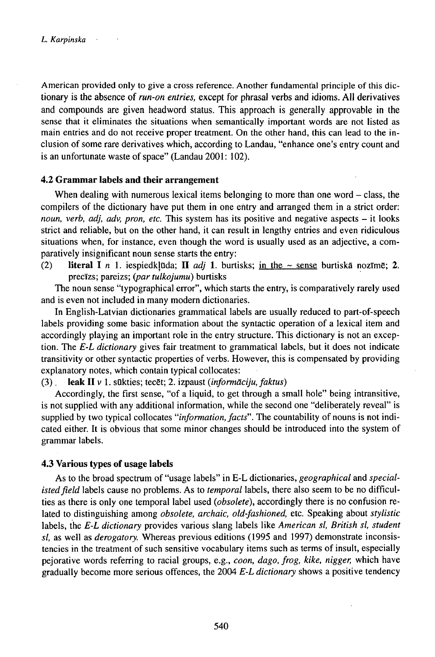American provided only to give a cross reference. Another fundamental principle of this dictionary is the absence of *run-on entries,* except for phrasal verbs and idioms. All derivatives and compounds are given headword status. This approach is generally approvable in the sense that it eliminates the situations when semantically important words are not listed as main entries and do not receive proper treatment. On the other hand, this can lead to the inclusion of some rare derivatives which, according to Landau, "enhance one's entry count and is an unfortunate waste of space" (Landau 2001: 102).

#### **4.2 Grammar labels and their arrangement**

When dealing with numerous lexical items belonging to more than one word  $-$  class, the compilers of the dictionary have put them in one entry and arranged them in a strict order: *noun, verb, adj, adv, pron, etc.* This system has its positive and negative aspects - it looks strict and reliable, but on the other hand, it can result in lengthy entries and even ridiculous situations when, for instance, even though the word is usually used as an adjective, a comparatively insignificant noun sense starts the entry:

(2) **literal I** *n* 1. iespiedklūda; **II** *adj* 1. burtisks; in the  $\sim$  sense burtiska nozīmē; 2. precīzs; pareizs; (par *tulkojumu*) burtisks

The noun sense "typographical error", which starts the entry, is comparatively rarely used and is even not included in many modern dictionaries.

In English-Latvian dictionaries grammatical labels are usually reduced to part-of-speech labels providing some basic information about the syntactic operation of a lexical item and accordingly playing an important role in the entry structure. This dictionary is not an exception. The *E-L dictionary* gives fair treatment to grammatical labels, but it does not indicate transitivity or other syntactic properties of verbs. However, this is compensated by providing explanatory notes, which contain typical collocates:

(3). **leak II** <sup>v</sup> 1. sQkties; tecSt; 2. izpaust *{informuciju,faktus)*

Accordingly, the first sense, "of a liquid, to get through a small hole" being intransitive, is not supplied with any additional information, while the second one "deliberately reveal" is supplied by two typical collocates "*information, facts*". The countability of nouns is not indicated either. It is obvious that some minor changes should be introduced into the system of grammar labels.

#### **4.3 Various types of usage labels**

As to the broad spectrum of "usage labels" in E-L dictionaries, *geographical* and *specialistedfield* labels cause no problems. As to *temporal* labels, there also seem to be no difficulties as there is only one temporal label used *(obsolete),* accordingly there is no confusion related to distinguishing among *obsolete, archaic, old-fashioned,* etc. Speaking about *stylistic* labels, the *E-L dictionary* provides various slang labels like *American sl, British sl, student sl,* as well as *derogatory.* Whereas previous editions (1995 and 1997) demonstrate inconsistencies in the treatment of such sensitive vocabulary items such as terms of insult, especially pejorative words referring to racial groups, e.g., *coon, dago, frog, kike, nigger,* which have gradually become more serious offences, the 2004 *E-L dictionary* shows a positive tendency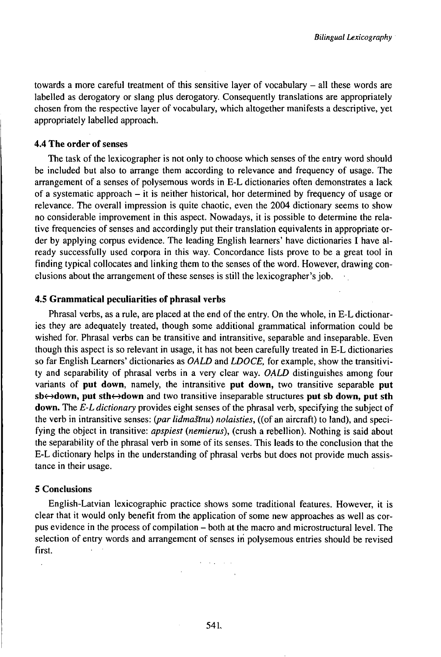towards <sup>a</sup> more careful treatment of this sensitive layer of vocabulary - all these words are labelled as derogatory or slang plus derogatory. Consequently translations are appropriately chosen from the respective layer of vocabulary, which altogether manifests a descriptive, yet appropriately labelled approach.

# **4.4 The order of senses**

The task of the lexicographer is not only to choose which senses of the entry word should be included but also to arrange them according to relevance and frequency of usage. The arrangement of a senses of polysemous words in E-L dictionaries often demonstrates a lack of a systematic approach  $-$  it is neither historical, hor determined by frequency of usage or relevance. The overall impression is quite chaotic, even the 2004 dictionary seems to show no considerable improvement in this aspect. Nowadays, it is possible to determine the relative frequencies of senses and accordingly put their translation equivalents in appropriate order by applying corpus evidence. The leading English learners' have dictionaries I have already successfully used corpora in this way. Concordance lists prove to be a great tool in finding typical collocates and linking them to the senses of the word. However, drawing conclusions about the arrangement of these senses is still the lexicographer's job.

#### **4.5 Grammatical peculiarities of phrasal verbs**

Phrasal verbs, as a rule, are placed at the end of the entry. On the whole, in E-L dictionaries they are adequately treated, though some additional grammatical information could be wished for. Phrasal verbs can be transitive and intransitive, separable and inseparable. Even though this aspect is so relevant in usage, it has not been carefully treated in E-L dictionaries so far English Learners' dictionaries as *OALD* and *LDOCE,* for example, show the transitivity and separability of phrasal verbs in a very clear way. *OALD* distinguishes among four variants of **put down,** namely, the intransitive **put down,** two transitive separable **put**  $\mathbf{S} \mathbf{b} \leftrightarrow \mathbf{down}$ , put  $\mathbf{sth} \leftrightarrow \mathbf{down}$  and two transitive inseparable structures put sb down, put sth **down.** The *E-L dictionary* provides eight senses of the phrasal verb, specifying the subject of the verb in intransitive senses: (par lidmastnu) nolaisties, ((of an aircraft) to land), and specifying the object in transitive: *apspiest (nemierus),* (crush a rebellion). Nothing is said about the separability of the phrasal verb in some of its senses. This leads to the conclusion that the E-L dictionary helps in the understanding of phrasal verbs but does not provide much assistance in their usage.

#### 5 Conclusions

English-Latvian lexicographic practice shows some traditional features. However, it is clear that it would only benefit from the application of some new approaches as well as corpus evidence in the process of compilation – both at the macro and microstructural level. The selection of entry words and arrangement of senses in polysemous entries should be revised first.

and a strategic con-